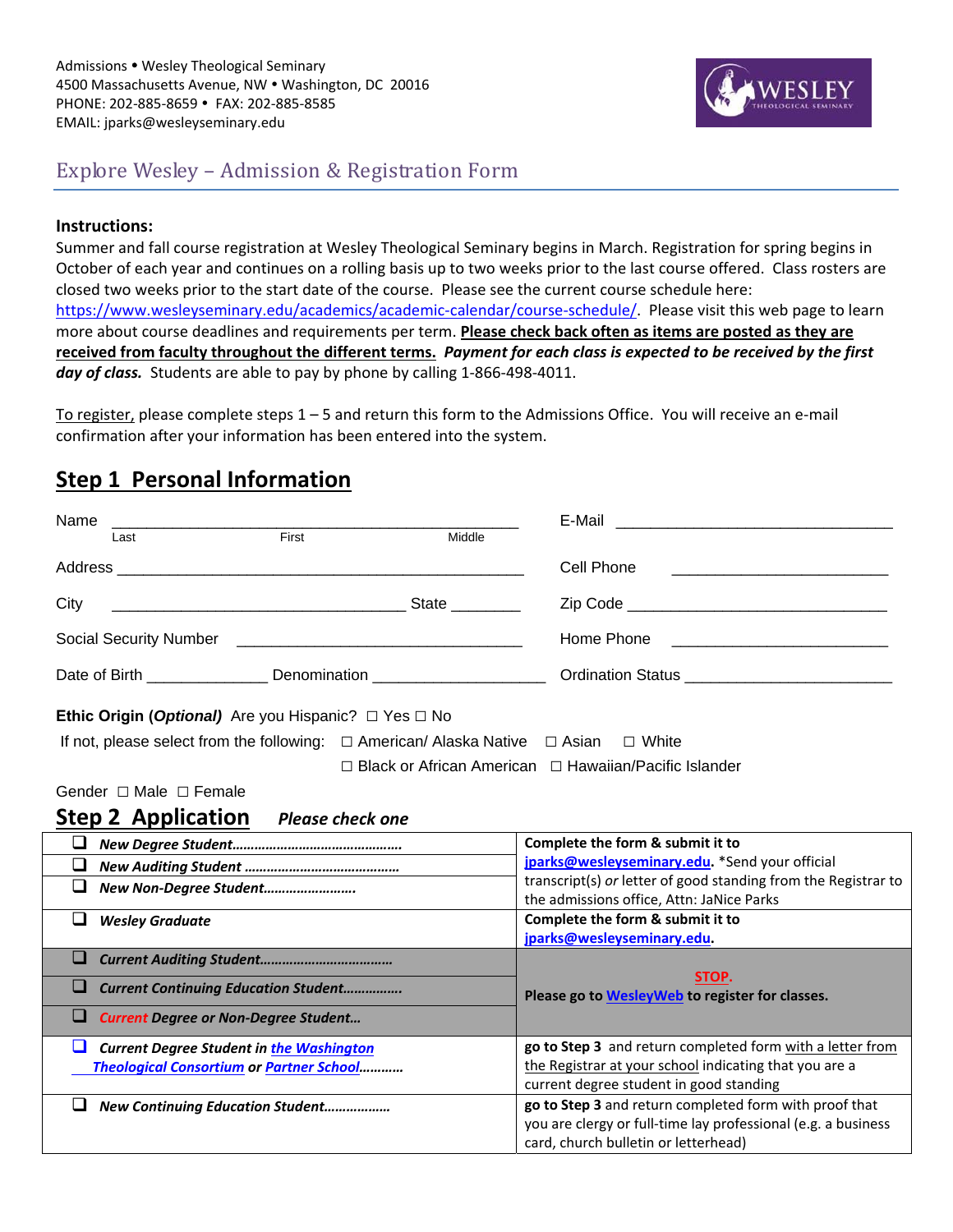

### Explore Wesley – Admission & Registration Form

#### **Instructions:**

Summer and fall course registration at Wesley Theological Seminary begins in March. Registration for spring begins in October of each year and continues on a rolling basis up to two weeks prior to the last course offered. Class rosters are closed two weeks prior to the start date of the course. Please see the current course schedule here: https://www.wesleyseminary.edu/academics/academic-calendar/course-schedule/. Please visit this web page to learn more about course deadlines and requirements per term. **Please check back often as items are posted as they are** received from faculty throughout the different terms. Payment for each class is expected to be received by the first *day of class.* Students are able to pay by phone by calling 1‐866‐498‐4011.

To register, please complete steps 1 – 5 and return this form to the Admissions Office. You will receive an e‐mail confirmation after your information has been entered into the system.

### **Step 1 Personal Information**

| Name                                                                                               | E-Mail                                                                                                |  |  |  |
|----------------------------------------------------------------------------------------------------|-------------------------------------------------------------------------------------------------------|--|--|--|
| First<br>Middle<br>Last                                                                            |                                                                                                       |  |  |  |
|                                                                                                    | Cell Phone                                                                                            |  |  |  |
| City                                                                                               |                                                                                                       |  |  |  |
|                                                                                                    | Home Phone <u>___________________________</u>                                                         |  |  |  |
| Date of Birth _________________________ Denomination ___________________________                   |                                                                                                       |  |  |  |
| <b>Ethic Origin (Optional)</b> Are you Hispanic? $\Box$ Yes $\Box$ No                              |                                                                                                       |  |  |  |
| If not, please select from the following: $\Box$ American/ Alaska Native $\Box$ Asian $\Box$ White |                                                                                                       |  |  |  |
|                                                                                                    | $\Box$ Black or African American $\Box$ Hawaiian/Pacific Islander                                     |  |  |  |
| Gender □ Male □ Female                                                                             |                                                                                                       |  |  |  |
| <b>Step 2 Application</b><br><b>Please check one</b>                                               |                                                                                                       |  |  |  |
|                                                                                                    |                                                                                                       |  |  |  |
| u                                                                                                  | Complete the form & submit it to                                                                      |  |  |  |
| ⊔                                                                                                  | jparks@wesleyseminary.edu. *Send your official                                                        |  |  |  |
| ❏<br>New Non-Degree Student                                                                        | transcript(s) or letter of good standing from the Registrar to                                        |  |  |  |
|                                                                                                    | the admissions office, Attn: JaNice Parks                                                             |  |  |  |
| ❏<br><b>Wesley Graduate</b>                                                                        | Complete the form & submit it to                                                                      |  |  |  |
| u                                                                                                  | jparks@wesleyseminary.edu.                                                                            |  |  |  |
| ⊔<br><b>Current Continuing Education Student</b>                                                   | STOP.<br>Please go to WesleyWeb to register for classes.                                              |  |  |  |
| ⊔<br><b>Current Degree or Non-Degree Student</b>                                                   |                                                                                                       |  |  |  |
| ⊔<br><b>Current Degree Student in the Washington</b>                                               | go to Step 3 and return completed form with a letter from                                             |  |  |  |
| <b>Theological Consortium or Partner School</b>                                                    | the Registrar at your school indicating that you are a                                                |  |  |  |
|                                                                                                    | current degree student in good standing                                                               |  |  |  |
| ப<br><b>New Continuing Education Student</b>                                                       | go to Step 3 and return completed form with proof that                                                |  |  |  |
|                                                                                                    | you are clergy or full-time lay professional (e.g. a business<br>card, church bulletin or letterhead) |  |  |  |